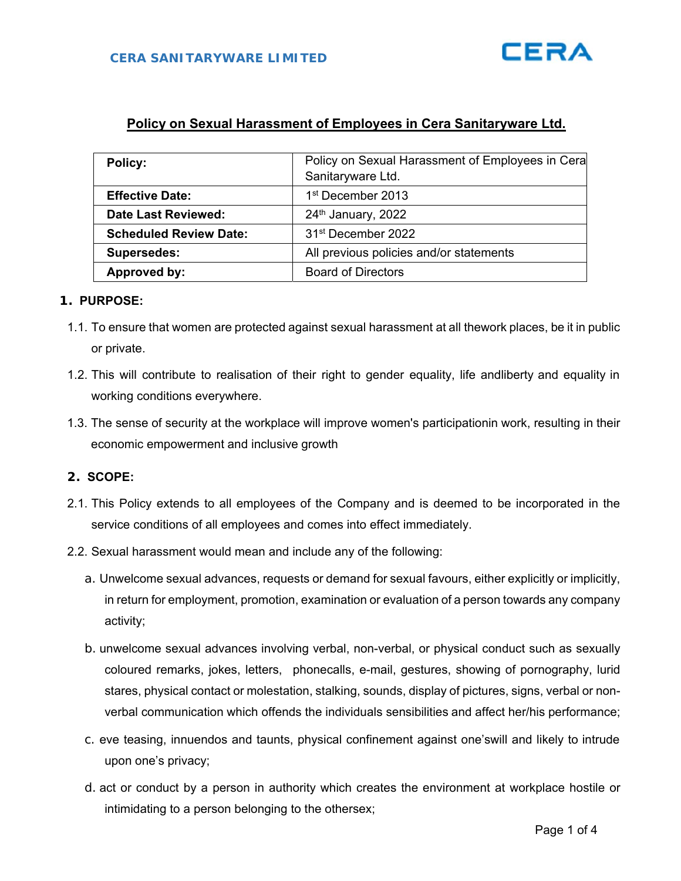# **Policy on Sexual Harassment of Employees in Cera Sanitaryware Ltd.**

| <b>Policy:</b>                | Policy on Sexual Harassment of Employees in Cera |
|-------------------------------|--------------------------------------------------|
|                               | Sanitaryware Ltd.                                |
| <b>Effective Date:</b>        | 1 <sup>st</sup> December 2013                    |
| <b>Date Last Reviewed:</b>    | 24th January, 2022                               |
| <b>Scheduled Review Date:</b> | 31 <sup>st</sup> December 2022                   |
| <b>Supersedes:</b>            | All previous policies and/or statements          |
| Approved by:                  | <b>Board of Directors</b>                        |

#### **1. PURPOSE:**

- 1.1. To ensure that women are protected against sexual harassment at all the work places, be it in public or private.
- 1.2. This will contribute to realisation of their right to gender equality, life and iberty and equality in working conditions everywhere.
- 1.3. The sense of security at the workplace will improve women's participationin work, resulting in their economic empowerment and inclusive growth

### **2. SCOPE:**

- 2.1. This Policy extends to all employees of the Company and is deemed to be incorporated in the service conditions of all employees and comes into effect immediately.
- 2.2. Sexual harassment would mean and include any of the following:
	- a. Unwelcome sexual advances, requests or demand for sexual favours, either explicitly or implicitly, in return for employment, promotion, examination or evaluation of a person towards any company activity;
	- b. unwelcome sexual advances involving verbal, non-verbal, or physical conduct such as sexually coloured remarks, jokes, letters, phonecalls, e-mail, gestures, showing of pornography, lurid stares, physical contact or molestation, stalking, sounds, display of pictures, signs, verbal or nonverbal communication which offends the individuals sensibilities and affect her/his performance;
	- c. eve teasing, innuendos and taunts, physical confinement against one's will and likely to intrude upon one's privacy;
	- d. act or conduct by a person in authority which creates the environment at workplace hostile or intimidating to a person belonging to the othersex;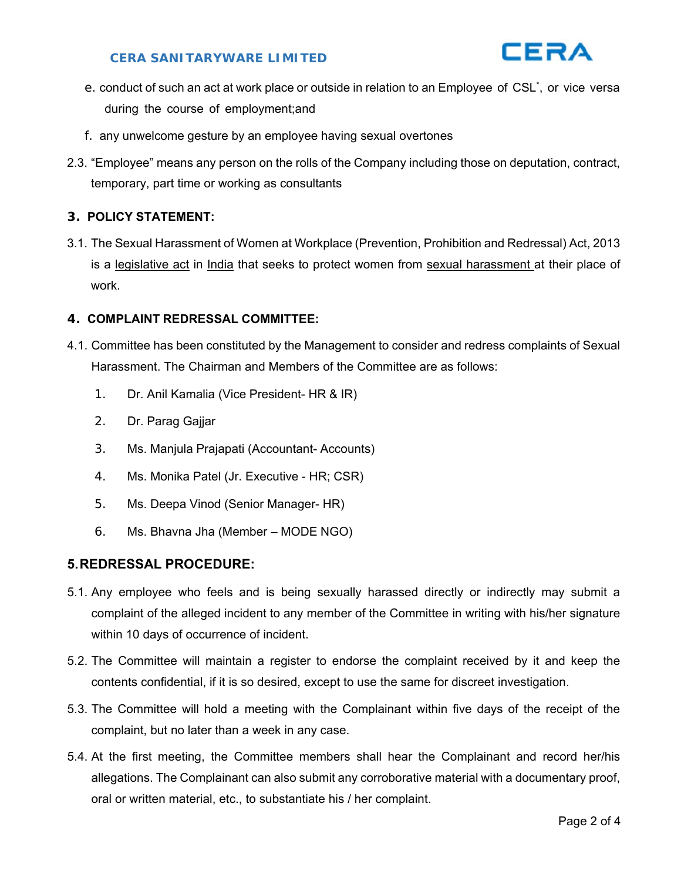# **CERA SANITARYWARE LIMITED**



- e. conduct of such an act at work place or outside in relation to an Employee of CSL<sup>\*</sup>, or vice versa during the course of employment; and
- f. any unwelcome gesture by an employee having sexual overtones
- 2.3. "Employee" means any person on the rolls of the Company including those on deputation, contract, temporary, part time or working as consultants

# **3. POLICY STATEMENT:**

3.1. The Sexual Harassment of Women at Workplace (Prevention, Prohibition and Redressal) Act, 2013 is a legislative act in India that seeks to protect women from sexual harassment at their place of work.

#### **4. COMPLAINT REDRESSAL COMMITTEE:**

- 4.1. Committee has been constituted by the Management to consider and redress complaints of Sexual Harassment. The Chairman and Members of the Committee are as follows:
	- 1. Dr. Anil Kamalia (Vice President- HR & IR)
	- 2. Dr. Parag Gajjar
	- 3. Ms. Manjula Prajapati (Accountant- Accounts)
	- 4. Ms. Monika Patel (Jr. Executive HR; CSR)
	- 5. Ms. Deepa Vinod (Senior Manager- HR)
	- 6. Ms. Bhavna Jha (Member MODE NGO)

# **5. REDRESSAL PROCEDURE:**

- 5.1. Any employee who feels and is being sexually harassed directly or indirectly may submit a complaint of the alleged incident to any member of the Committee in writing with his/her signature within 10 days of occurrence of incident.
- 5.2. The Committee will maintain a register to endorse the complaint received by it and keep the contents confidential, if it is so desired, except to use the same for discreet investigation.
- 5.3. The Committee will hold a meeting with the Complainant within five days of the receipt of the complaint, but no later than a week in any case.
- 5.4. At the first meeting, the Committee members shall hear the Complainant and record her/his allegations. The Complainant can also submit any corroborative material with a documentary proof, oral or written material, etc., to substantiate his / her complaint.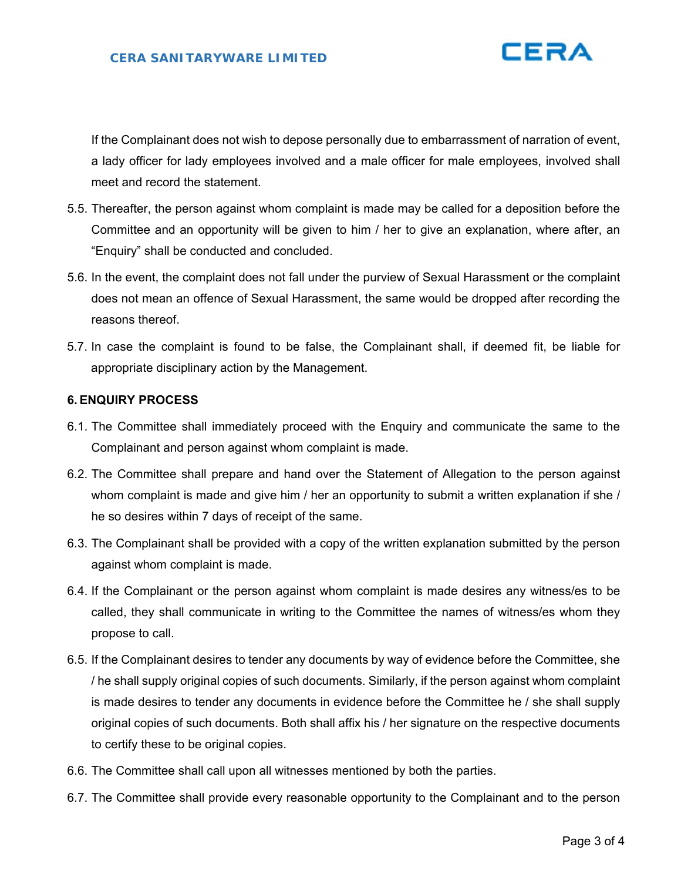

If the Complainant does not wish to depose personally due to embarrassment of narration of event, a lady officer for lady employees involved and a male officer for male employees, involved shall meet and record the statement.

- 5.5. Thereafter, the person against whom complaint is made may be called for a deposition before the Committee and an opportunity will be given to him / her to give an explanation, where after, an "Enquiry" shall be conducted and concluded.
- 5.6. In the event, the complaint does not fall under the purview of Sexual Harassment or the complaint does not mean an offence of Sexual Harassment, the same would be dropped after recording the reasons thereof.
- 5.7. In case the complaint is found to be false, the Complainant shall, if deemed fit, be liable for appropriate disciplinary action by the Management.

#### **6. ENQUIRY PROCESS**

- 6.1. The Committee shall immediately proceed with the Enquiry and communicate the same to the Complainant and person against whom complaint is made.
- 6.2. The Committee shall prepare and hand over the Statement of Allegation to the person against whom complaint is made and give him / her an opportunity to submit a written explanation if she / he so desires within 7 days of receipt of the same.
- 6.3. The Complainant shall be provided with a copy of the written explanation submitted by the person against whom complaint is made.
- 6.4. If the Complainant or the person against whom complaint is made desires any witness/es to be called, they shall communicate in writing to the Committee the names of witness/es whom they propose to call.
- 6.5. If the Complainant desires to tender any documents by way of evidence before the Committee, she / he shall supply original copies of such documents. Similarly, if the person against whom complaint is made desires to tender any documents in evidence before the Committee he / she shall supply original copies of such documents. Both shall affix his / her signature on the respective documents to certify these to be original copies.
- 6.6. The Committee shall call upon all witnesses mentioned by both the parties.
- 6.7. The Committee shall provide every reasonable opportunity to the Complainant and to the person